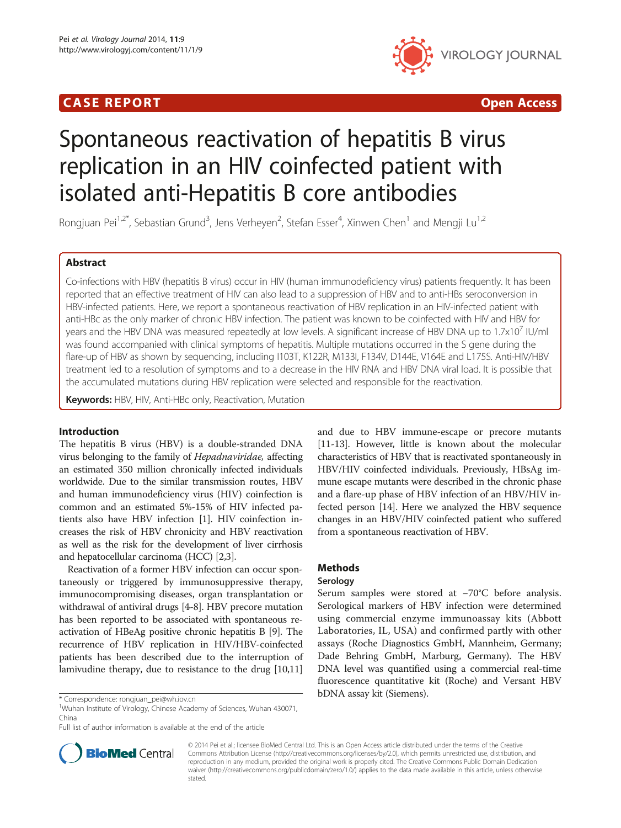# **CASE REPORT CASE ACCESS CASE REPORT**



# Spontaneous reactivation of hepatitis B virus replication in an HIV coinfected patient with isolated anti-Hepatitis B core antibodies

Rongjuan Pei<sup>1,2\*</sup>, Sebastian Grund<sup>3</sup>, Jens Verheyen<sup>2</sup>, Stefan Esser<sup>4</sup>, Xinwen Chen<sup>1</sup> and Mengji Lu<sup>1,2</sup>

# Abstract

Co-infections with HBV (hepatitis B virus) occur in HIV (human immunodeficiency virus) patients frequently. It has been reported that an effective treatment of HIV can also lead to a suppression of HBV and to anti-HBs seroconversion in HBV-infected patients. Here, we report a spontaneous reactivation of HBV replication in an HIV-infected patient with anti-HBc as the only marker of chronic HBV infection. The patient was known to be coinfected with HIV and HBV for years and the HBV DNA was measured repeatedly at low levels. A significant increase of HBV DNA up to 1.7x10<sup>7</sup> IU/ml was found accompanied with clinical symptoms of hepatitis. Multiple mutations occurred in the S gene during the flare-up of HBV as shown by sequencing, including I103T, K122R, M133I, F134V, D144E, V164E and L175S. Anti-HIV/HBV treatment led to a resolution of symptoms and to a decrease in the HIV RNA and HBV DNA viral load. It is possible that the accumulated mutations during HBV replication were selected and responsible for the reactivation.

Keywords: HBV, HIV, Anti-HBc only, Reactivation, Mutation

# Introduction

The hepatitis B virus (HBV) is a double-stranded DNA virus belonging to the family of Hepadnaviridae, affecting an estimated 350 million chronically infected individuals worldwide. Due to the similar transmission routes, HBV and human immunodeficiency virus (HIV) coinfection is common and an estimated 5%-15% of HIV infected patients also have HBV infection [\[1\]](#page-5-0). HIV coinfection increases the risk of HBV chronicity and HBV reactivation as well as the risk for the development of liver cirrhosis and hepatocellular carcinoma (HCC) [[2,3\]](#page-5-0).

Reactivation of a former HBV infection can occur spontaneously or triggered by immunosuppressive therapy, immunocompromising diseases, organ transplantation or withdrawal of antiviral drugs [\[4-8](#page-5-0)]. HBV precore mutation has been reported to be associated with spontaneous reactivation of HBeAg positive chronic hepatitis B [\[9\]](#page-5-0). The recurrence of HBV replication in HIV/HBV-coinfected patients has been described due to the interruption of lamivudine therapy, due to resistance to the drug [\[10,11](#page-5-0)]

and due to HBV immune-escape or precore mutants [[11](#page-5-0)-[13\]](#page-5-0). However, little is known about the molecular characteristics of HBV that is reactivated spontaneously in HBV/HIV coinfected individuals. Previously, HBsAg immune escape mutants were described in the chronic phase and a flare-up phase of HBV infection of an HBV/HIV infected person [[14](#page-5-0)]. Here we analyzed the HBV sequence changes in an HBV/HIV coinfected patient who suffered from a spontaneous reactivation of HBV.

# Methods

## Serology

Serum samples were stored at −70°C before analysis. Serological markers of HBV infection were determined using commercial enzyme immunoassay kits (Abbott Laboratories, IL, USA) and confirmed partly with other assays (Roche Diagnostics GmbH, Mannheim, Germany; Dade Behring GmbH, Marburg, Germany). The HBV DNA level was quantified using a commercial real-time fluorescence quantitative kit (Roche) and Versant HBV



© 2014 Pei et al.; licensee BioMed Central Ltd. This is an Open Access article distributed under the terms of the Creative Commons Attribution License [\(http://creativecommons.org/licenses/by/2.0\)](http://creativecommons.org/licenses/by/2.0), which permits unrestricted use, distribution, and reproduction in any medium, provided the original work is properly cited. The Creative Commons Public Domain Dedication waiver [\(http://creativecommons.org/publicdomain/zero/1.0/\)](http://creativecommons.org/publicdomain/zero/1.0/) applies to the data made available in this article, unless otherwise stated.

bDNA assay kit (Siemens). \* Correspondence: [rongjuan\\_pei@wh.iov.cn](mailto:rongjuan_pei@wh.iov.cn) <sup>1</sup>

<sup>&</sup>lt;sup>1</sup>Wuhan Institute of Virology, Chinese Academy of Sciences, Wuhan 430071, China

Full list of author information is available at the end of the article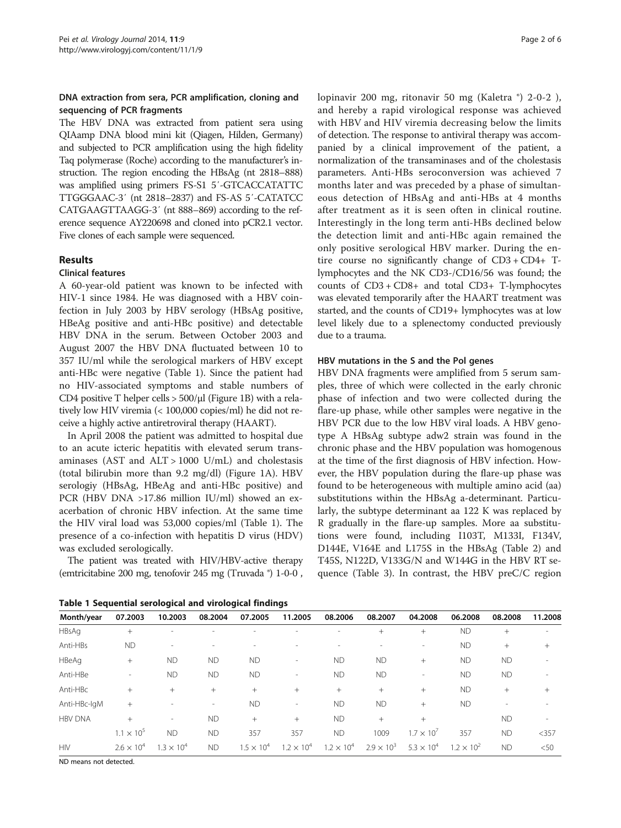# <span id="page-1-0"></span>DNA extraction from sera, PCR amplification, cloning and sequencing of PCR fragments

The HBV DNA was extracted from patient sera using QIAamp DNA blood mini kit (Qiagen, Hilden, Germany) and subjected to PCR amplification using the high fidelity Taq polymerase (Roche) according to the manufacturer's instruction. The region encoding the HBsAg (nt 2818–888) was amplified using primers FS-S1 5′-GTCACCATATTC TTGGGAAC-3′ (nt 2818–2837) and FS-AS 5′-CATATCC CATGAAGTTAAGG-3′ (nt 888–869) according to the reference sequence AY220698 and cloned into pCR2.1 vector. Five clones of each sample were sequenced.

# Results

### Clinical features

A 60-year-old patient was known to be infected with HIV-1 since 1984. He was diagnosed with a HBV coinfection in July 2003 by HBV serology (HBsAg positive, HBeAg positive and anti-HBc positive) and detectable HBV DNA in the serum. Between October 2003 and August 2007 the HBV DNA fluctuated between 10 to 357 IU/ml while the serological markers of HBV except anti-HBc were negative (Table 1). Since the patient had no HIV-associated symptoms and stable numbers of CD4 positive T helper cells > 500/μl (Figure [1B](#page-2-0)) with a relatively low HIV viremia (< 100,000 copies/ml) he did not receive a highly active antiretroviral therapy (HAART).

In April 2008 the patient was admitted to hospital due to an acute icteric hepatitis with elevated serum transaminases (AST and  $ALT > 1000$  U/mL) and cholestasis (total bilirubin more than 9.2 mg/dl) (Figure [1](#page-2-0)A). HBV serologiy (HBsAg, HBeAg and anti-HBc positive) and PCR (HBV DNA >17.86 million IU/ml) showed an exacerbation of chronic HBV infection. At the same time the HIV viral load was 53,000 copies/ml (Table 1). The presence of a co-infection with hepatitis D virus (HDV) was excluded serologically.

The patient was treated with HIV/HBV-active therapy (emtricitabine 200 mg, tenofovir 245 mg (Truvada ®) 1-0-0 ,

lopinavir 200 mg, ritonavir 50 mg (Kaletra ®) 2-0-2 ), and hereby a rapid virological response was achieved with HBV and HIV viremia decreasing below the limits of detection. The response to antiviral therapy was accompanied by a clinical improvement of the patient, a normalization of the transaminases and of the cholestasis parameters. Anti-HBs seroconversion was achieved 7 months later and was preceded by a phase of simultaneous detection of HBsAg and anti-HBs at 4 months after treatment as it is seen often in clinical routine. Interestingly in the long term anti-HBs declined below the detection limit and anti-HBc again remained the only positive serological HBV marker. During the entire course no significantly change of CD3 + CD4+ Tlymphocytes and the NK CD3-/CD16/56 was found; the counts of CD3 + CD8+ and total CD3+ T-lymphocytes was elevated temporarily after the HAART treatment was started, and the counts of CD19+ lymphocytes was at low level likely due to a splenectomy conducted previously due to a trauma.

### HBV mutations in the S and the Pol genes

HBV DNA fragments were amplified from 5 serum samples, three of which were collected in the early chronic phase of infection and two were collected during the flare-up phase, while other samples were negative in the HBV PCR due to the low HBV viral loads. A HBV genotype A HBsAg subtype adw2 strain was found in the chronic phase and the HBV population was homogenous at the time of the first diagnosis of HBV infection. However, the HBV population during the flare-up phase was found to be heterogeneous with multiple amino acid (aa) substitutions within the HBsAg a-determinant. Particularly, the subtype determinant aa 122 K was replaced by R gradually in the flare-up samples. More aa substitutions were found, including I103T, M133I, F134V, D144E, V164E and L175S in the HBsAg (Table [2](#page-3-0)) and T45S, N122D, V133G/N and W144G in the HBV RT sequence (Table [3](#page-4-0)). In contrast, the HBV preC/C region

Table 1 Sequential serological and virological findings

| Month/year     | 07.2003                  | 10.2003                  | 08.2004   | 07.2005             | 11.2005             | 08.2006             | 08.2007             | 04.2008                  | 06.2008             | 08.2008   | 11.2008                  |
|----------------|--------------------------|--------------------------|-----------|---------------------|---------------------|---------------------|---------------------|--------------------------|---------------------|-----------|--------------------------|
| HBsAg          | $+$                      |                          |           |                     |                     |                     | $+$                 | $^{+}$                   | <b>ND</b>           | $+$       | ۰                        |
| Anti-HBs       | <b>ND</b>                |                          |           |                     |                     |                     |                     | $\overline{\phantom{a}}$ | <b>ND</b>           | $^{+}$    | $^{+}$                   |
| HBeAg          | $+$                      | <b>ND</b>                | <b>ND</b> | <b>ND</b>           | $\sim$              | <b>ND</b>           | <b>ND</b>           | $+$                      | <b>ND</b>           | <b>ND</b> | ٠                        |
| Anti-HBe       | $\overline{\phantom{a}}$ | <b>ND</b>                | <b>ND</b> | <b>ND</b>           | $\sim$              | <b>ND</b>           | <b>ND</b>           | $\overline{\phantom{a}}$ | <b>ND</b>           | <b>ND</b> | $\overline{\phantom{a}}$ |
| Anti-HBc       | $+$                      | $+$                      | $^{+}$    | $+$                 | $+$                 | $+$                 | $+$                 | $+$                      | <b>ND</b>           | $+$       | $^{+}$                   |
| Anti-HBc-IgM   | $+$                      |                          | -         | <b>ND</b>           | $\sim$              | <b>ND</b>           | <b>ND</b>           | $^{+}$                   | <b>ND</b>           | ۰         | $\overline{\phantom{a}}$ |
| <b>HBV DNA</b> | $+$                      | $\overline{\phantom{a}}$ | <b>ND</b> | $^{+}$              | $+$                 | <b>ND</b>           | $+$                 | $^{+}$                   |                     | <b>ND</b> | $\overline{\phantom{a}}$ |
|                | $1.1 \times 10^{5}$      | <b>ND</b>                | <b>ND</b> | 357                 | 357                 | <b>ND</b>           | 1009                | $1.7 \times 10^{7}$      | 357                 | <b>ND</b> | $<$ 357                  |
| <b>HIV</b>     | $2.6 \times 10^{4}$      | $1.3 \times 10^{4}$      | <b>ND</b> | $1.5 \times 10^{4}$ | $1.2 \times 10^{4}$ | $1.2 \times 10^{4}$ | $2.9 \times 10^{3}$ | $5.3 \times 10^{4}$      | $1.2 \times 10^{2}$ | <b>ND</b> | < 50                     |

ND means not detected.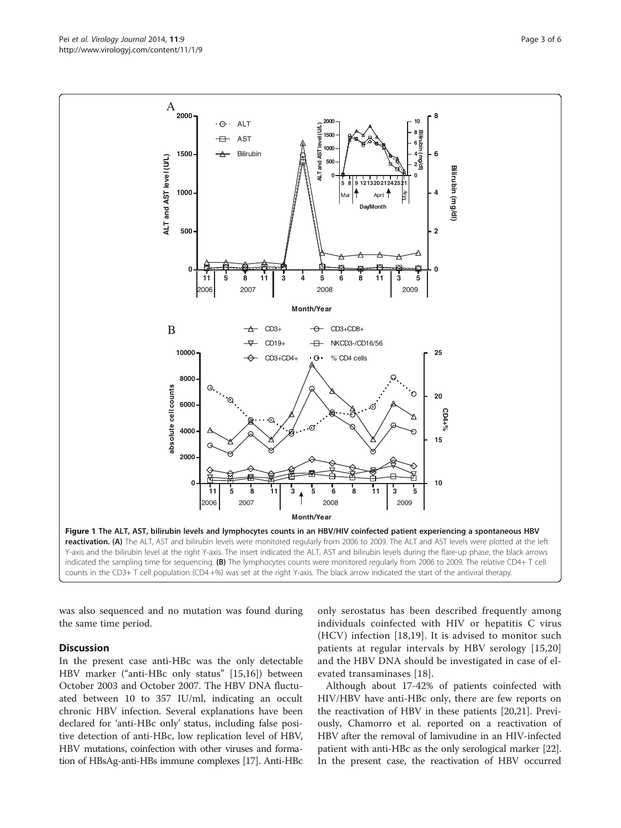was also sequenced and no mutation was found during the same time period.

#### **Discussion**

In the present case anti-HBc was the only detectable HBV marker ("anti-HBc only status" [\[15](#page-5-0),[16](#page-5-0)]) between October 2003 and October 2007. The HBV DNA fluctuated between 10 to 357 IU/ml, indicating an occult chronic HBV infection. Several explanations have been declared for 'anti-HBc only' status, including false positive detection of anti-HBc, low replication level of HBV, HBV mutations, coinfection with other viruses and formation of HBsAg-anti-HBs immune complexes [[17](#page-5-0)]. Anti-HBc

only serostatus has been described frequently among individuals coinfected with HIV or hepatitis C virus (HCV) infection [\[18,19\]](#page-5-0). It is advised to monitor such patients at regular intervals by HBV serology [[15,20](#page-5-0)] and the HBV DNA should be investigated in case of elevated transaminases [\[18\]](#page-5-0).

Although about 17-42% of patients coinfected with HIV/HBV have anti-HBc only, there are few reports on the reactivation of HBV in these patients [\[20,21](#page-5-0)]. Previously, Chamorro et al. reported on a reactivation of HBV after the removal of lamivudine in an HIV-infected patient with anti-HBc as the only serological marker [[22](#page-5-0)]. In the present case, the reactivation of HBV occurred

<span id="page-2-0"></span>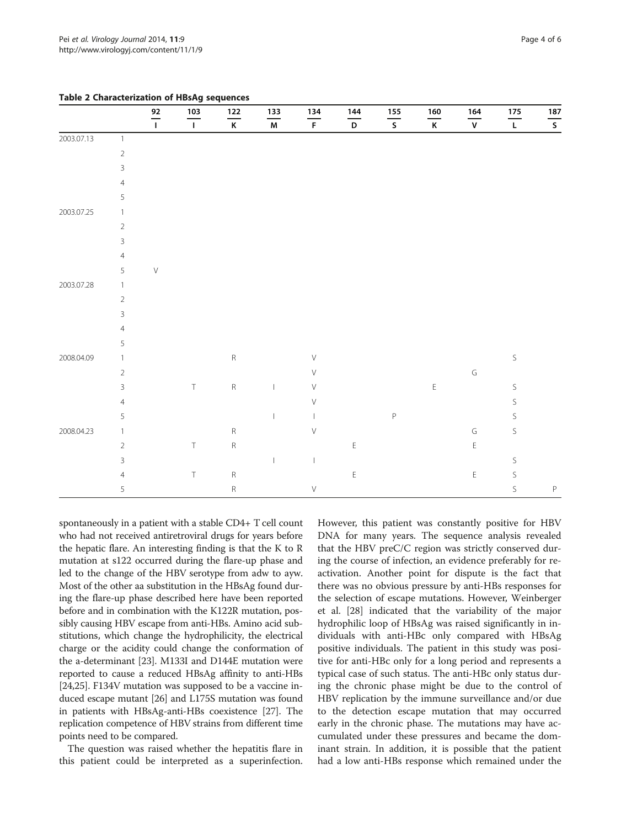| spontaneously in a patient with a stable CD4+ T cell count   |
|--------------------------------------------------------------|
| who had not received antiretroviral drugs for years before   |
| the hepatic flare. An interesting finding is that the K to R |
| mutation at s122 occurred during the flare-up phase and      |
| led to the change of the HBV serotype from adw to ayw.       |
| Most of the other aa substitution in the HBsAg found dur-    |
| ing the flare-up phase described here have been reported     |
| before and in combination with the K122R mutation, pos-      |
| sibly causing HBV escape from anti-HBs. Amino acid sub-      |
| stitutions, which change the hydrophilicity, the electrical  |
| charge or the acidity could change the conformation of       |
| the a-determinant [23]. M133I and D144E mutation were        |
| reported to cause a reduced HBsAg affinity to anti-HBs       |
| [24,25]. F134V mutation was supposed to be a vaccine in-     |
| duced escape mutant [26] and L175S mutation was found        |
| in patients with HBsAg-anti-HBs coexistence [27]. The        |
| replication competence of HBV strains from different time    |
| points need to be compared.                                  |
|                                                              |

The question was raised whether the hepatitis flare in this patient could be interpreted as a superinfection. However, this patient was constantly positive for HBV DNA for many years. The sequence analysis revealed that the HBV preC/C region was strictly conserved during the course of infection, an evidence preferably for reactivation. Another point for dispute is the fact that there was no obvious pressure by anti-HBs responses for the selection of escape mutations. However, Weinberger et al. [[28](#page-5-0)] indicated that the variability of the major hydrophilic loop of HBsAg was raised significantly in individuals with anti-HBc only compared with HBsAg positive individuals. The patient in this study was positive for anti-HBc only for a long period and represents a typical case of such status. The anti-HBc only status during the chronic phase might be due to the control of HBV replication by the immune surveillance and/or due to the detection escape mutation that may occurred early in the chronic phase. The mutations may have accumulated under these pressures and became the dominant strain. In addition, it is possible that the patient had a low anti-HBs response which remained under the

|            |                |                | $\frac{103}{ }$ |                 |                          |                 | $\frac{144}{ }$ |                                                                 |                 |                                                                                         |                 |                 |
|------------|----------------|----------------|-----------------|-----------------|--------------------------|-----------------|-----------------|-----------------------------------------------------------------|-----------------|-----------------------------------------------------------------------------------------|-----------------|-----------------|
|            |                | $\frac{92}{1}$ | $\mathbf I$     | $\frac{122}{K}$ | $\frac{133}{M}$          | $\frac{134}{F}$ | D               | $\frac{155}{S}$                                                 | $\frac{160}{K}$ | $\frac{164}{V}$                                                                         | $\frac{175}{L}$ | $\frac{187}{S}$ |
| 2003.07.13 | $\overline{1}$ |                |                 |                 |                          |                 |                 |                                                                 |                 |                                                                                         |                 |                 |
|            | $\sqrt{2}$     |                |                 |                 |                          |                 |                 |                                                                 |                 |                                                                                         |                 |                 |
|            | $\mathbf{3}$   |                |                 |                 |                          |                 |                 |                                                                 |                 |                                                                                         |                 |                 |
|            | $\overline{4}$ |                |                 |                 |                          |                 |                 |                                                                 |                 |                                                                                         |                 |                 |
|            | 5              |                |                 |                 |                          |                 |                 |                                                                 |                 |                                                                                         |                 |                 |
| 2003.07.25 | $\mathbf{1}$   |                |                 |                 |                          |                 |                 |                                                                 |                 |                                                                                         |                 |                 |
|            | $\sqrt{2}$     |                |                 |                 |                          |                 |                 |                                                                 |                 |                                                                                         |                 |                 |
|            | $\mathsf{3}$   |                |                 |                 |                          |                 |                 |                                                                 |                 |                                                                                         |                 |                 |
|            | $\overline{4}$ |                |                 |                 |                          |                 |                 |                                                                 |                 |                                                                                         |                 |                 |
|            | 5              | $\vee$         |                 |                 |                          |                 |                 |                                                                 |                 |                                                                                         |                 |                 |
| 2003.07.28 | $\mathbf{1}$   |                |                 |                 |                          |                 |                 |                                                                 |                 |                                                                                         |                 |                 |
|            | $\sqrt{2}$     |                |                 |                 |                          |                 |                 |                                                                 |                 |                                                                                         |                 |                 |
|            | $\mathsf{3}$   |                |                 |                 |                          |                 |                 |                                                                 |                 |                                                                                         |                 |                 |
|            | $\overline{4}$ |                |                 |                 |                          |                 |                 |                                                                 |                 |                                                                                         |                 |                 |
|            | 5              |                |                 |                 |                          |                 |                 |                                                                 |                 |                                                                                         |                 |                 |
| 2008.04.09 | $\mathbf{1}$   |                |                 | ${\sf R}$       |                          | $\vee$          |                 |                                                                 |                 |                                                                                         | $\mathsf S$     |                 |
|            | $\sqrt{2}$     |                |                 |                 |                          | $\vee$          |                 |                                                                 |                 | $\mathsf G$                                                                             |                 |                 |
|            | $\mathbf{3}$   |                | $\top$          | $\mathsf R$     | $\overline{\phantom{a}}$ | $\vee$          |                 |                                                                 | E               |                                                                                         | $\mathsf S$     |                 |
|            | $\overline{4}$ |                |                 |                 |                          | $\vee$          |                 |                                                                 |                 |                                                                                         | $\sf S$         |                 |
|            | 5              |                |                 |                 | $\mathbf{I}$             |                 |                 | $\mathsf{P}% _{T}=\mathsf{P}_{T}\!\left( \mathsf{P}_{T}\right)$ |                 |                                                                                         | $\mathsf S$     |                 |
| 2008.04.23 | $\overline{1}$ |                |                 | $\mathsf R$     |                          | $\vee$          |                 |                                                                 |                 | $\mathsf G$                                                                             | $\mathsf S$     |                 |
|            | $\sqrt{2}$     |                | $\top$          | $\mathsf R$     |                          |                 | $\mathsf E$     |                                                                 |                 | $\mathsf{E}% _{\mathsf{H}}\left( t\right) \equiv\mathsf{H}_{\mathsf{H}}\left( t\right)$ |                 |                 |
|            | $\mathsf{3}$   |                |                 |                 | $\overline{\phantom{a}}$ | I               |                 |                                                                 |                 |                                                                                         | $\mathsf S$     |                 |
|            | $\overline{4}$ |                | $\top$          | ${\sf R}$       |                          |                 | $\mathsf E$     |                                                                 |                 | $\mathsf E$                                                                             | $\mathsf S$     |                 |
|            | 5              |                |                 | $\mathsf R$     |                          | $\vee$          |                 |                                                                 |                 |                                                                                         | $\mathsf S$     | P               |

<span id="page-3-0"></span>Table 2 Characterization of HBsAg sequences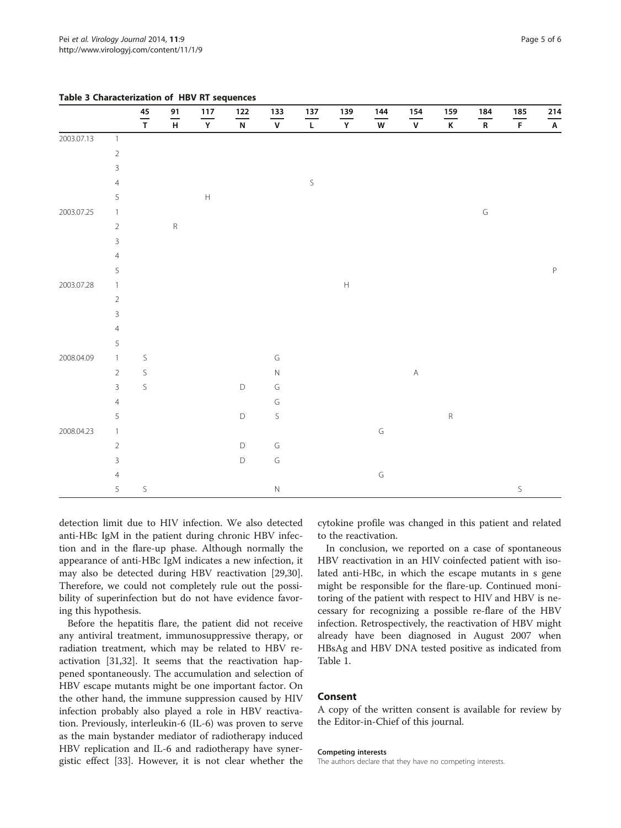|            |   |   | detection limit due to HIV infection. We also detected<br>anti-HBc IgM in the patient during chronic HBV infec-<br>tion and in the flare-up phase. Although normally the<br>appearance of anti-HBc IgM indicates a new infection, it<br>may also be detected during HBV reactivation [29,30]. |   | cytokine profile was changed in this patient and relate<br>to the reactivation.<br>In conclusion, we reported on a case of spontaneou<br>HBV reactivation in an HIV coinfected patient with iso<br>lated anti-HBc, in which the escape mutants in s gen |   |   |
|------------|---|---|-----------------------------------------------------------------------------------------------------------------------------------------------------------------------------------------------------------------------------------------------------------------------------------------------|---|---------------------------------------------------------------------------------------------------------------------------------------------------------------------------------------------------------------------------------------------------------|---|---|
|            | 5 | S |                                                                                                                                                                                                                                                                                               | Ν |                                                                                                                                                                                                                                                         |   | S |
|            | 4 |   |                                                                                                                                                                                                                                                                                               |   | G                                                                                                                                                                                                                                                       |   |   |
|            | 3 |   | D                                                                                                                                                                                                                                                                                             | G |                                                                                                                                                                                                                                                         |   |   |
|            | 2 |   | D                                                                                                                                                                                                                                                                                             | G |                                                                                                                                                                                                                                                         |   |   |
| 2008.04.23 |   |   |                                                                                                                                                                                                                                                                                               |   | G                                                                                                                                                                                                                                                       |   |   |
|            | 5 |   | D                                                                                                                                                                                                                                                                                             | S |                                                                                                                                                                                                                                                         | R |   |
|            | 4 |   |                                                                                                                                                                                                                                                                                               | G |                                                                                                                                                                                                                                                         |   |   |
|            | 3 | S | D                                                                                                                                                                                                                                                                                             | G |                                                                                                                                                                                                                                                         |   |   |
|            | 2 | S |                                                                                                                                                                                                                                                                                               | Ν | Α                                                                                                                                                                                                                                                       |   |   |
| 2008.04.09 |   | S |                                                                                                                                                                                                                                                                                               | G |                                                                                                                                                                                                                                                         |   |   |
|            | 5 |   |                                                                                                                                                                                                                                                                                               |   |                                                                                                                                                                                                                                                         |   |   |
|            | 3 |   |                                                                                                                                                                                                                                                                                               |   |                                                                                                                                                                                                                                                         |   |   |
|            | 2 |   |                                                                                                                                                                                                                                                                                               |   |                                                                                                                                                                                                                                                         |   |   |
| 2003.07.28 |   |   |                                                                                                                                                                                                                                                                                               |   | H                                                                                                                                                                                                                                                       |   |   |
|            | 5 |   |                                                                                                                                                                                                                                                                                               |   |                                                                                                                                                                                                                                                         |   |   |
|            | 4 |   |                                                                                                                                                                                                                                                                                               |   |                                                                                                                                                                                                                                                         |   |   |
|            | 3 |   |                                                                                                                                                                                                                                                                                               |   |                                                                                                                                                                                                                                                         |   |   |

2003.07.25 1 G

### <span id="page-4-0"></span>Table 3 Characterization of HBV RT sequences

 $5$  H

2 R

4 S

may also be detected during HBV reactivation [\[29,30](#page-5-0)]. Therefore, we could not completely rule out the possibility of superinfection but do not have evidence favoring this hypothesis.

Before the hepatitis flare, the patient did not receive any antiviral treatment, immunosuppressive therapy, or radiation treatment, which may be related to HBV reactivation [[31,32\]](#page-5-0). It seems that the reactivation happened spontaneously. The accumulation and selection of HBV escape mutants might be one important factor. On the other hand, the immune suppression caused by HIV infection probably also played a role in HBV reactivation. Previously, interleukin-6 (IL-6) was proven to serve as the main bystander mediator of radiotherapy induced HBV replication and IL-6 and radiotherapy have synergistic effect [[33\]](#page-5-0). However, it is not clear whether the

n a case of spontaneous infected patient with isoscape mutants in s gene might be responsible for the flare-up. Continued monitoring of the patient with respect to HIV and HBV is necessary for recognizing a possible re-flare of the HBV infection. Retrospectively, the reactivation of HBV might already have been diagnosed in August 2007 when HBsAg and HBV DNA tested positive as indicated from Table [1.](#page-1-0)

#### Consent

A copy of the written consent is available for review by the Editor-in-Chief of this journal.

#### Competing interests

45 91 117 122 133 137 139 144 154 159 184 185 214 TH Y N V L Y W V K R F A

The authors declare that they have no competing interests.

2003.07.13 1

2 3